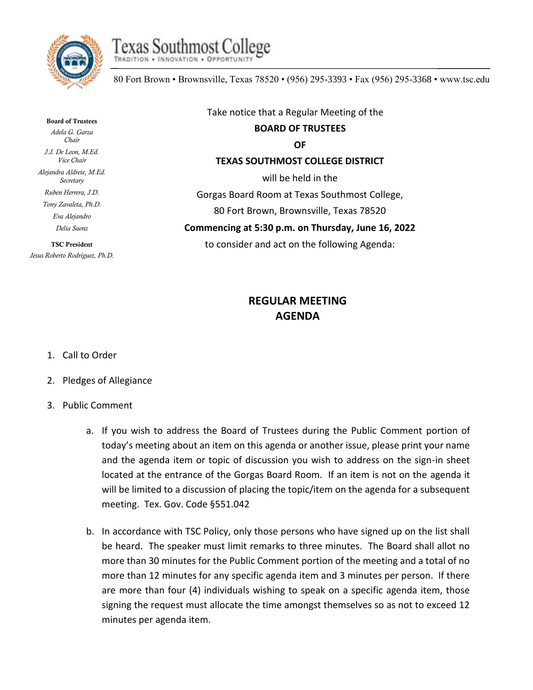



80 Fort Brown • Brownsville, Texas 78520 • (956) 295-3393 • Fax (956) 295-3368 • www.tsc.edu

Board of Trustees *Adela G. Garza Chair J.J. De Leon, M.Ed. Vice Chair Alejandra Aldrete, M.Ed. Secretary Ruben Herrera, J.D. Tony Zavaleta, Ph.D. Eva Alejandro Delia Saenz*

TSC President *Jesus Roberto Rodríguez, Ph.D.*

Take notice that a Regular Meeting of the **BOARD OF TRUSTEES OF TEXAS SOUTHMOST COLLEGE DISTRICT** will be held in the Gorgas Board Room at Texas Southmost College, 80 Fort Brown, Brownsville, Texas 78520 **Commencing at 5:30 p.m. on Thursday, June 16, 2022**

to consider and act on the following Agenda:

## **REGULAR MEETING AGENDA**

- 1. Call to Order
- 2. Pledges of Allegiance
- 3. Public Comment
	- a. If you wish to address the Board of Trustees during the Public Comment portion of today's meeting about an item on this agenda or another issue, please print your name and the agenda item or topic of discussion you wish to address on the sign-in sheet located at the entrance of the Gorgas Board Room. If an item is not on the agenda it will be limited to a discussion of placing the topic/item on the agenda for a subsequent meeting. Tex. Gov. Code §551.042
	- b. In accordance with TSC Policy, only those persons who have signed up on the list shall be heard. The speaker must limit remarks to three minutes. The Board shall allot no more than 30 minutes for the Public Comment portion of the meeting and a total of no more than 12 minutes for any specific agenda item and 3 minutes per person. If there are more than four (4) individuals wishing to speak on a specific agenda item, those signing the request must allocate the time amongst themselves so as not to exceed 12 minutes per agenda item.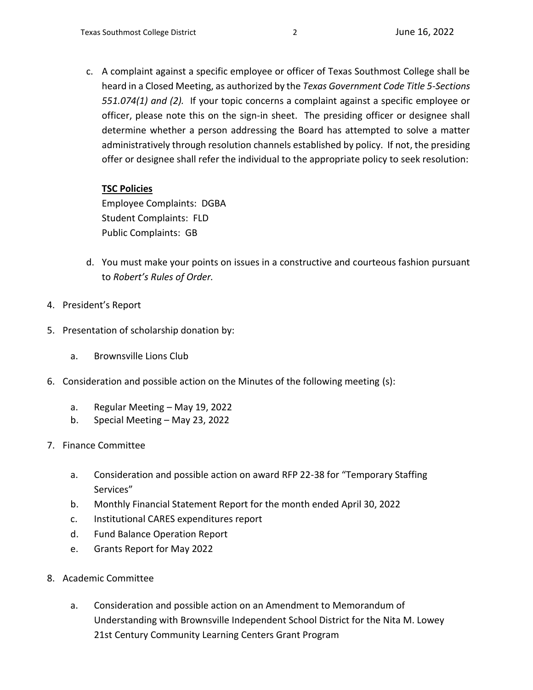c. A complaint against a specific employee or officer of Texas Southmost College shall be heard in a Closed Meeting, as authorized by the *Texas Government Code Title 5-Sections 551.074(1) and (2).* If your topic concerns a complaint against a specific employee or officer, please note this on the sign-in sheet. The presiding officer or designee shall determine whether a person addressing the Board has attempted to solve a matter administratively through resolution channels established by policy. If not, the presiding offer or designee shall refer the individual to the appropriate policy to seek resolution:

## **TSC Policies**

Employee Complaints: DGBA Student Complaints: FLD Public Complaints: GB

- d. You must make your points on issues in a constructive and courteous fashion pursuant to *Robert's Rules of Order.*
- 4. President's Report
- 5. Presentation of scholarship donation by:
	- a. Brownsville Lions Club
- 6. Consideration and possible action on the Minutes of the following meeting (s):
	- a. Regular Meeting May 19, 2022
	- b. Special Meeting May 23, 2022
- 7. Finance Committee
	- a. Consideration and possible action on award RFP 22-38 for "Temporary Staffing Services"
	- b. Monthly Financial Statement Report for the month ended April 30, 2022
	- c. Institutional CARES expenditures report
	- d. Fund Balance Operation Report
	- e. Grants Report for May 2022
- 8. Academic Committee
	- a. Consideration and possible action on an Amendment to Memorandum of Understanding with Brownsville Independent School District for the Nita M. Lowey 21st Century Community Learning Centers Grant Program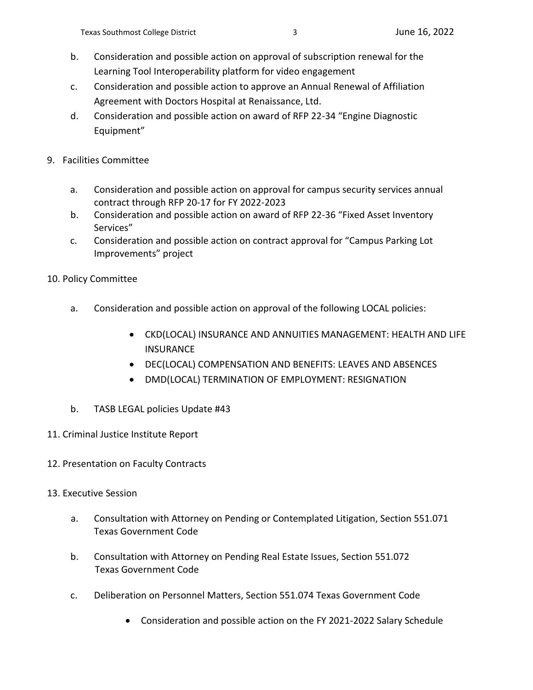- b. Consideration and possible action on approval of subscription renewal for the Learning Tool Interoperability platform for video engagement
- c. Consideration and possible action to approve an Annual Renewal of Affiliation Agreement with Doctors Hospital at Renaissance, Ltd.
- d. Consideration and possible action on award of RFP 22-34 "Engine Diagnostic Equipment"
- 9. Facilities Committee
	- a. Consideration and possible action on approval for campus security services annual contract through RFP 20-17 for FY 2022-2023
	- b. Consideration and possible action on award of RFP 22-36 "Fixed Asset Inventory Services"
	- c. Consideration and possible action on contract approval for "Campus Parking Lot Improvements" project
- 10. Policy Committee
	- a. Consideration and possible action on approval of the following LOCAL policies:
		- CKD(LOCAL) INSURANCE AND ANNUITIES MANAGEMENT: HEALTH AND LIFE INSURANCE
		- DEC(LOCAL) COMPENSATION AND BENEFITS: LEAVES AND ABSENCES
		- DMD(LOCAL) TERMINATION OF EMPLOYMENT: RESIGNATION
	- b. TASB LEGAL policies Update #43
- 11. Criminal Justice Institute Report
- 12. Presentation on Faculty Contracts
- 13. Executive Session
	- a. Consultation with Attorney on Pending or Contemplated Litigation, Section 551.071 Texas Government Code
	- b. Consultation with Attorney on Pending Real Estate Issues, Section 551.072 Texas Government Code
	- c. Deliberation on Personnel Matters, Section 551.074 Texas Government Code
		- Consideration and possible action on the FY 2021-2022 Salary Schedule